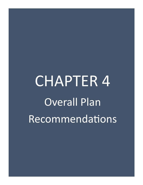# CHAPTER 4 Overall Plan Recommendations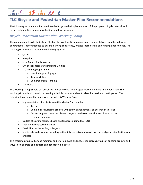# <u> si sis olo ki olo olo</u>

## **TLC Bicycle and Pedestrian Master Plan Recommendations**

The following recommendations are intended to guide the implementation of the proposed bicycle network and ensure collaboration among stakeholders and local agencies.

#### *Bicycle-Pedestrian Master Plan Working Group*

The creation of a Bicycle-Pedestrian Master Plan Working Group made up of representatives from the following departments is recommended to ensure planning consistency, project coordination, and funding opportunities. The Working Group should include the following agencies:

- CRTPA
- Blueprint
- Leon County Public Works
- City of Tallahassee Underground Utilities
- TLC Planning Department
	- Wayfinding and Signage
	- o Transportation
	- Comprehensive Planning
- **StarMetro**

This Working Group should be formalized to ensure consistent project coordination and implementation. The Working Group should develop a meeting schedule once formalized to allow for maximum participation. The following topics should be addressed through this Working Group:

- Implementation of projects from this Master Plan based on:
	- Tiering
	- Combining resurfacing projects with safety enhancements as outlined in this Plan
	- Cost-savings such as other planned projects on the corridor that could incorporate recommendations
- Update of existing facilities based on standards outlined by FDOT
- Educational outreach initiatives
- Feasibility studies for Major Projects
- Multimodal collaboration including better linkages between transit, bicycle, and pedestrian facilities and projects

This Working Group will attend meetings and inform bicycle and pedestrian citizens groups of ongoing projects and ways to collaborate on outreach and education initiatives.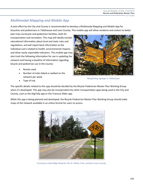### *Multimodal Mapping and Mobile App*

A joint effort by the City and County is recommended to develop a Multimodal Mapping and Mobile App for bicyclists and pedestrians in Tallahassee and Leon County. This mobile app will allow residents and visitors to better

plan trips via bicycle and pedestrian facilities, both for transportation and recreation. This map will ideally include educational information about local and state rules and regulations, and will report back information to the individual users related to health, environmental impacts, and other easily reportable indicators. This mobile app may also track the following information for use in updating the network and having a baseline of information regarding bicycle and pedestrian use in the County:

- Routes used
- Number of miles biked or walked on the network per week



*Wayfinding signage in Tallahassee*

Type of trip

The specific details related to this app should be decided by the Bicycle-Pedestrian Master Plan Working Group when it's developed. This app may also be incorporated into other transportation apps being used in the City and County, such as the DigiTally app or the TransLoc Rider app.

While this app is being planned and developed, the Bicycle-Pedestrian Master Plan Working Group should make maps of the network available in an online format for users to access.



*Crossing on Oak Ridge Road for the St. Marks Trail, southern Leon County*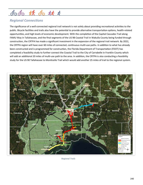## 5 52 00 73 0000

#### *Regional Connections*

The significance of a well-connected regional trail network is not solely about providing recreational activities to the public. Bicycle facilities and trails also have the potential to provide alternative transportation options, health-related opportunities, and high levels of economic development. With the completion of the Capital Cascades Trail along FAMU Way in Tallahassee, and the final segments of the US 98 Coastal Trail in Wakulla County being funded through construction, the CRTPA has made a significant investment in the expansion of the regional trail network. By 2022, the CRTPA region will have over 60 miles of connected, continuous multi-use paths. In addition to what has already been constructed and is programmed for construction, the Florida Department of Transportation (FDOT) has completed a feasibility study to further connect the Coastal Trail to the City of Carrabelle in Franklin County which will add an additional 20 miles of multi-use path to the area. In addition, the CRTPA is also conducting a feasibility study for the US 90 Tallahassee to Monticello Trail which would add another 25 miles of trail to the regional system.



*Regional Trails*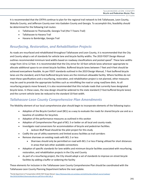It is recommended that the CRTPA continue to plan for the regional trail network to link Tallahassee, Leon County, Wakulla County, and Jefferson County over into Gadsden County and Georgia. To accomplish this, feasibility should be determined for the following trail routes:

- Tallahassee to Thomasville, Georgia Trail (the T-Towns Trail)
- Tallahassee to Havana Trail
- Havana to Bainbridge, Georgia Trail

#### *Resurfacing, Restoration, and Rehabilitation Projects*

As roads are resurfaced and rehabilitated throughout Tallahassee and Leon County, it is recommended that the City and County adopt a set of standards for vehicle lane and bicycle facility widths. The 2019 FDOT Design Manual outlines recommended minimum land widths based on roadway classifications and posted speed<sup>3</sup>. These lane widths range from 10 to 12 feet. It is recommended that the City strive for 10 foot vehicle lanes wherever appropriate to allocate additional space to on-street bicycle facilities. Buffered bicycle lanes between 7 feet and 4 feet should be achieved everywhere feasible. As per FDOT standards outlined in the 2019 Design Manual, 7-foot buffered bicycle lanes are the standard, and 4-foot buffered bicycle lanes are the minimum allowable facility. Where facilities do not meet these specifications and a resurfacing, restoration, and rehabilitation project is not planned, other measures may be used to provide the appropriate facilities such as retrofitting the road or using road/lane diets. As all resurfacing projects move forward, it is also recommended that this include roads that currently have designated bicycle lanes. In these cases, the new design should be widened to the state standard (7-foot buffered bicycle lanes) and the current vehicle lanes be reduced to the standard 10-foot width.

#### *Tallahassee-Leon County Comprehensive Plan Amendments*

The Mobility element of our local comprehensive plan should begin to incorporate elements of the following topics:

- Adoption of the Bicycle Comfort Level (BCL) as a way to evaluate the roads for shared bicycle use and as a baseline of condition for bicyclists
- Adoption of the performance measures as outlined in this section
- Adoption of Comprehensive Plan goal of BCL 3 or better on all local and county roads.
- Investigate road conversions for accommodation of bicycle and pedestrian facilities.
	- Jackson Bluff Road should be the pilot project for this study
- Codify the use of utility easements and limited access facilities as trail corridors
- Remove sharrows on existing roads with BCL 2 or less
	- Sharrows should only be permitted on road with BCL 2 or less if being utilized for short distances in areas that lack other available connections
- Adoption of specific standards for lane widths and minimum bicycle facilities associated with resurfacing, restoration, and rehabilitation projects in the City and County
- As part of a resurfacing project, the City should adopt a set of standards to improve on-street bicycle facilities by adding a buffer or widening the facility

These elements for inclusion in the Tallahassee-Leon County Comprehensive Plan should be coordinated with the Tallahassee-Leon County Planning Department before the next update.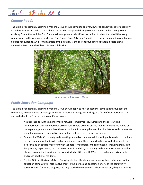## <u>So So SA So SA 5</u>

#### *Canopy Roads*

The Bicycle-Pedestrian Master Plan Working Group should complete an overview of all canopy roads for possibility of adding bicycle and pedestrian facilities. This can be completed through coordination with the Canopy Roads Advisory Committee and the City/County to investigate and identify opportunities to allow these facilities along canopy roads in the canopy setback zone. The Canopy Road Advisory Committee recently completed a plan that can be used for guidance. An existing example of this strategy is the current paved surface that is located along Centerville Road near the Killearn Estates subdivision.



*Canopy road in Tallahassee, Florida*

### *Public Education Campaign*

The Bicycle-Pedestrian Master Plan Working Group should begin to host educational campaigns throughout the community to educate and encourage residents to choose bicycling and walking as a form of transportation. This outreach should be focused on three different areas:

- Neighborhoods: As the neighborhood network is implemented, outreach to the surrounding neighborhoods and neighborhood associations should occur to ensure that all residents are aware of the expanding network and how they can utilize it. Explaining the rules for bicyclists as well as motorists along the roadways is imperative information that can lead to a safer network.
- Community Wide: Community wide meetings should occur when additional input is needed to continue the development of the bicycle and pedestrian network. These opportunities for collecting input can also serve as an educational forum with vendors from different modal companies including StarMetro, TLC planning department, and the universities. In addition, community wide education events may be planned in coordination with other events including Bike Month (May) to piggyback on existing efforts and reach additional residents.
- Elected Officials/Decision Makers: Engaging elected officials and encouraging them to be a part of the education campaign will help involve them in the bicycle and pedestrian efforts of the community, garner support for future projects, and may teach them to serve as advocates for bicycling and walking.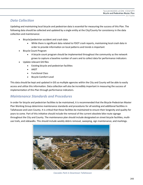#### *Data Collection*

Updating and maintaining local bicycle and pedestrian data is essential for measuring the success of this Plan. The following data should be collected and updated by a single entity at the City/County for consistency in the data collection and maintenance:

- Bicycle/pedestrian accident and crash data
	- While there is significant data related to FDOT crash reports, maintaining local crash data in order to provide information on local patterns and trends is important
- Bicycle Count Program
	- A bicycle count program should be implemented throughout the community as the network grows to capture a baseline number of users and to collect data for performance indicators
- Update relevant GIS files
	- Existing bicycle and pedestrian facilities
	- AADT
	- Functional Class
	- Bicycle Comfort Level

This data should be kept and updated in GIS so multiple agencies within the City and County will be able to easily access and utilize this information. Data collection will also be incredibly important in measuring the success of implementation of this Plan through performance indicators.

#### *Maintenance Standards and Procedures*

In order for bicycle and pedestrian facilities to be maintained, it is recommended that the Bicycle-Pedestrian Master Plan Working Group determine maintenance standards and procedures for all existing and additional facilities in Tallahassee and Leon County. It is critical that these facilities be maintained to ensure their longevity and quality for years to come. Part of this initiative should include the removal of the current obsolete bike route signage throughout the City and County. The maintenance plan should include designated on street bicycle facilities, multiuse trails, and sidewalks. This should include weekly debris removal, sweeping, sign maintenance, and markings.



*Cascades Park in Downtown Tallahassee*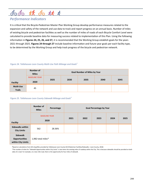# <u> Si it si si it i</u>

## *Performance Indicators*

It is critical that the Bicycle-Pedestrian Master Plan Working Group develop performance measures related to the expansion and safety of the network and use data to track and report progress on an annual basis. Number of miles of existing bicycle and pedestrian facilities as well as the number of miles of roads of each Bicycle Comfort Level were calculated to provide baseline data for measuring success related to implementation of this Plan. Using the following information in **Figures 24, 25, 26, and 27,** it is recommended that the Working Group establish goals for the years 2021 through 2025. **Figures 24 through 27** include baseline information and future year goals per each facility type, to be determined by the Working Group and help track progress of the bicycle and pedestrian network.

#### *Figure 24. Tallahassee-Leon County Multi-Use Path Mileage and Goals<sup>2</sup>*

|                            | <b>Number of</b><br><b>Miles</b> | <b>Goal Number of Miles by Year</b> |      |      |      |      |  |
|----------------------------|----------------------------------|-------------------------------------|------|------|------|------|--|
|                            | <b>BASELINE YEAR</b><br>2020     | 2025                                | 2030 | 2035 | 2040 | 2045 |  |
| <b>Facility</b>            |                                  |                                     |      |      |      |      |  |
| Multi-Use<br><b>Trails</b> | 45                               |                                     |      |      |      |      |  |

#### *Figure 25. Tallahassee-Leon County Sidewalk Mileage and Goals<sup>4</sup>*

|                                                               | Number of<br><b>Miles</b>    | Percentage | <b>Goal Percentage by Year</b> |      |      |      |      |
|---------------------------------------------------------------|------------------------------|------------|--------------------------------|------|------|------|------|
| <b>Facility</b>                                               | <b>BASELINE YEAR</b><br>2020 |            | 2021                           | 2022 | 2023 | 2024 | 2025 |
| <b>Sidewalks within</b><br><b>City Limits</b>                 | 562                          | 28.36%     |                                |      |      |      |      |
| <b>Sidewalk</b><br><b>Opportunities</b><br>within City Limits | 1,982 total miles*           |            |                                |      |      |      |      |

4 Based on calculations from GIS shapefiles provided by Tallahassee-Leon County GIS (Pedestrian Facilities/Sidewalks—Leon County, 2018)

\*The number of miles for "Sidewalk Opportunities within City Limits" is two times the existing miles of roadway within the City. This is because sidewalks should be provided on both sides of a road. For example, on a two-mile road, there is the opportunity for four miles of sidewalk.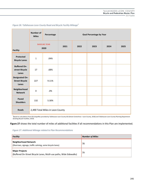|                                                         | <b>Number of</b><br><b>Miles</b> | Percentage | <b>Goal Percentage by Year</b> |      |      |      |      |
|---------------------------------------------------------|----------------------------------|------------|--------------------------------|------|------|------|------|
| <b>Facility</b>                                         | <b>BASELNE YEAR</b><br>2020      |            | 2021                           | 2022 | 2023 | 2024 | 2025 |
| Protected<br><b>Bicycle Lanes</b>                       | $\mathbf 1$                      | .04%       |                                |      |      |      |      |
| <b>Buffered On-</b><br>street Bicycle<br>Lanes          | 17                               | .68%       |                                |      |      |      |      |
| <b>Designated On-</b><br><b>Street Bicycle</b><br>Lanes | 227                              | 9.11%      |                                |      |      |      |      |
| Neighborhood<br><b>Network</b>                          | $\pmb{0}$                        | .0%        |                                |      |      |      |      |
| Paved<br><b>Shoulders</b>                               | 132                              | 5.30%      |                                |      |      |      |      |
| <b>Roads</b>                                            | 2,490 Total Miles in Leon County |            |                                |      |      |      |      |

*Figure 26. Tallahassee-Leon County Road and Bicycle Facility Mileage<sup>5</sup>*

5 Based on calculations from GIS shapefiles provided by Tallahassee-Leon County GIS (Street Centerlines—Leon County, 2018) and Tallahassee-Leon County Planning Department (Existing Bicycle Facilities, 2019)

**Figure 27** shows the total number of miles of additional facilities if all recommendations in this Plan are implemented.

#### *Figure 27. Additional Mileage related to Plan Recommendations*

| <b>Facility</b>                                                                              | <b>Number of Miles</b> |
|----------------------------------------------------------------------------------------------|------------------------|
| <b>Neighborhood Network</b><br>(Sharrows, signage, traffic calming, some bicycle lanes)      | 78                     |
| <b>Major Projects</b><br>(Buffered On-Street Bicycle Lanes, Multi-use paths, Wide Sidewalks) | 79                     |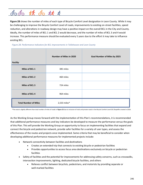

**Figure 28** shows the number of miles of each type of Bicycle Comfort Level designation in Leon County. While it may be challenging to improve the Bicycle Comfort Level of roads, improvements to existing on-street facilities, speed reduction, and alterations in roadway design may have a positive impact on the overall BCL in the City and County. Ideally, the number of miles of BCL 1 and BCL 2 would decrease, and the number of miles of BCL 3 and 4 would increase. This performance measure should be evaluated every 5 years due to the effort it may take to influence existing BCL.

*Figure 28. Performance Indicators for BCL improvements in Tallahassee and Leon County*

| <b>Facility</b>              | <b>Number of Miles in 2020</b> | <b>Goal Number of Miles by 2025</b> |
|------------------------------|--------------------------------|-------------------------------------|
| Miles of BCL 1               | 385 miles                      |                                     |
| Miles of BCL 2               | 460 miles                      |                                     |
| Miles of BCL 3               | 724 miles                      |                                     |
| Miles of BCL 4               | 964 miles                      |                                     |
| <b>Total Number of Miles</b> | 2,533 miles*                   |                                     |

\*This total is slightly different than total number of miles of roads in **Figure 25** due to inclusion of trails and private roads in the Bicycle Comfort Level GIS Shapefile created in 2018.

As the Working Group moves forward with the implementation of this Plan's recommendations, it is recommended that additional performance measures and key indicators be developed to measure the performance versus the goals of this Plan. This will provide the Working Group an opportunity to focus on implementing facilities that expand and connect the bicycle and pedestrian network, provide safer facilities for a variety of user types, and assess the effectiveness of the routes and projects once implemented. Some criteria that may be beneficial to consider when developing additional performance measures for implemented projects include:

- Network connectivity between facilities and destinations
	- Creates an extended trip that connects to existing bicycle or pedestrian facilities
	- Provides opportunities to access focus area destinations exclusively on bicycle or pedestrian facilities
- Safety of facilities and the potential for improvements for addressing safety concerns, such as crosswalks, intersection improvements, lighting, dedicated bicycle facilities, and others
	- Relieves conflict between bicyclists, pedestrians, and motorists by providing separate or well-marked facilities